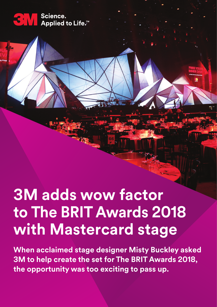

## **3M adds wow factor to The BRIT Awards 2018 with Mastercard stage**

**When acclaimed stage designer Misty Buckley asked 3M to help create the set for The BRIT Awards 2018, the opportunity was too exciting to pass up.**